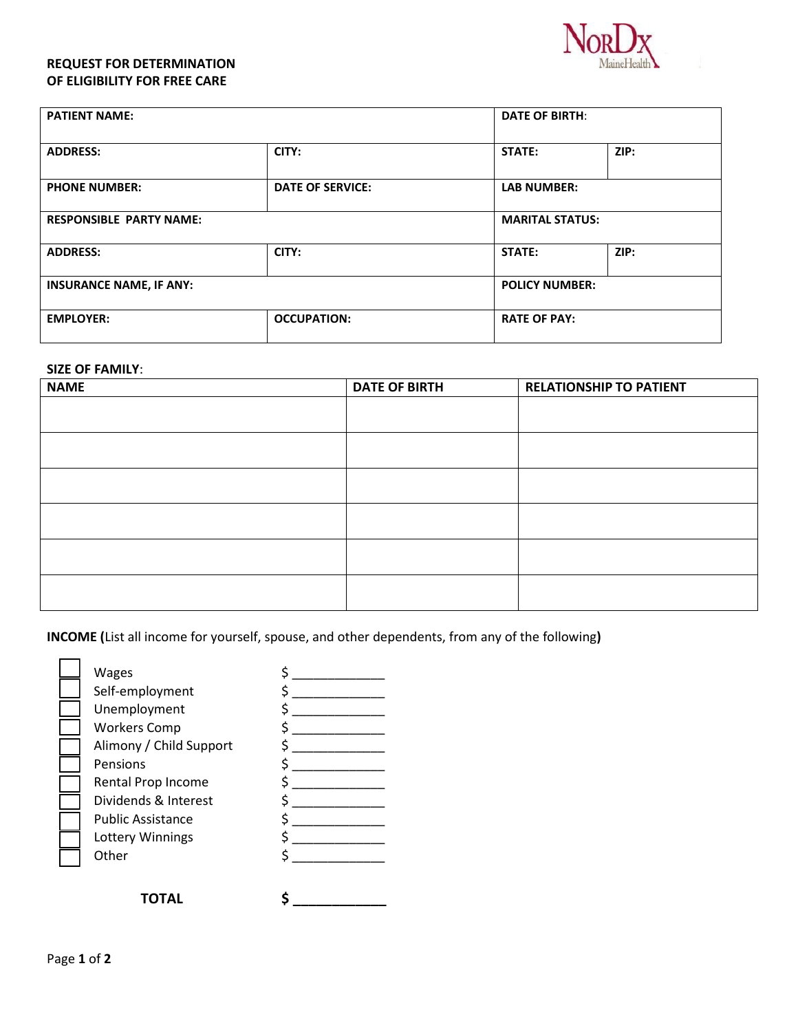## **REQUEST FOR DETERMINATION OF ELIGIBILITY FOR FREE CARE**



| <b>PATIENT NAME:</b>           |                         | <b>DATE OF BIRTH:</b>  |      |
|--------------------------------|-------------------------|------------------------|------|
| <b>ADDRESS:</b>                | CITY:                   | <b>STATE:</b>          | ZIP: |
| <b>PHONE NUMBER:</b>           | <b>DATE OF SERVICE:</b> | <b>LAB NUMBER:</b>     |      |
| <b>RESPONSIBLE PARTY NAME:</b> |                         | <b>MARITAL STATUS:</b> |      |
| <b>ADDRESS:</b>                | CITY:                   | STATE:                 | ZIP: |
| <b>INSURANCE NAME, IF ANY:</b> |                         | <b>POLICY NUMBER:</b>  |      |
| <b>EMPLOYER:</b>               | <b>OCCUPATION:</b>      | <b>RATE OF PAY:</b>    |      |

## **SIZE OF FAMILY**:

| <b>NAME</b> | <b>DATE OF BIRTH</b> | <b>RELATIONSHIP TO PATIENT</b> |  |
|-------------|----------------------|--------------------------------|--|
|             |                      |                                |  |
|             |                      |                                |  |
|             |                      |                                |  |
|             |                      |                                |  |
|             |                      |                                |  |
|             |                      |                                |  |

**INCOME (**List all income for yourself, spouse, and other dependents, from any of the following**)**

| <b>Wages</b>             |  |
|--------------------------|--|
| Self-employment          |  |
| Unemployment             |  |
| <b>Workers Comp</b>      |  |
| Alimony / Child Support  |  |
| Pensions                 |  |
| Rental Prop Income       |  |
| Dividends & Interest     |  |
| <b>Public Assistance</b> |  |
| Lottery Winnings         |  |
| Other                    |  |
|                          |  |
|                          |  |